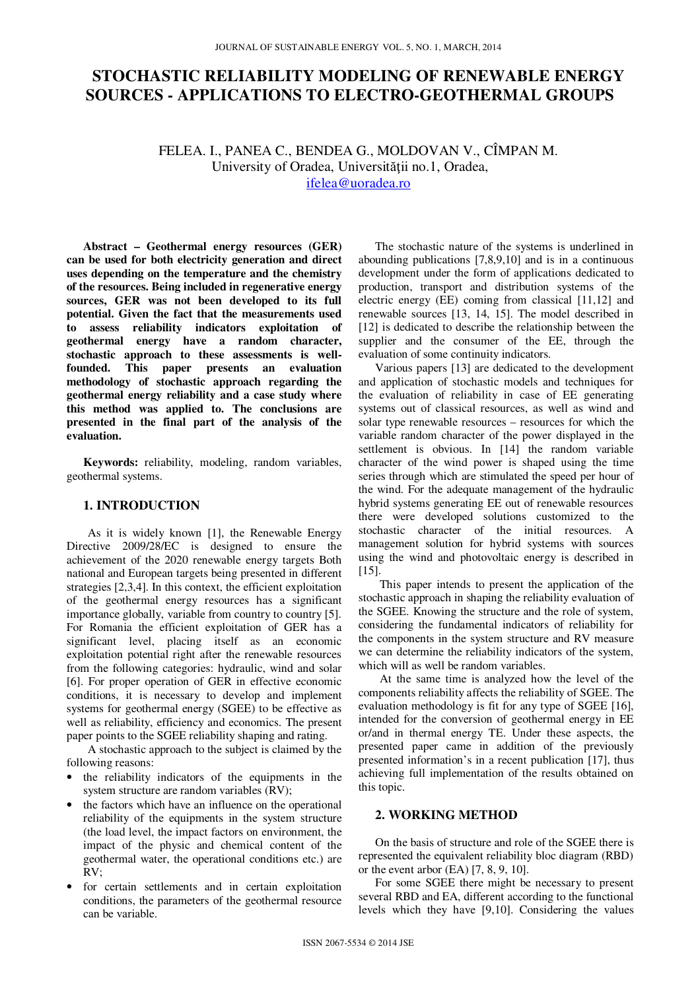# **STOCHASTIC RELIABILITY MODELING OF RENEWABLE ENERGY SOURCES - APPLICATIONS TO ELECTRO-GEOTHERMAL GROUPS**

FELEA. I., PANEA C., BENDEA G., MOLDOVAN V., CÎMPAN M. University of Oradea, Universităţii no.1, Oradea,

ifelea@uoradea.ro

**Abstract – Geothermal energy resources (GER) can be used for both electricity generation and direct uses depending on the temperature and the chemistry of the resources. Being included in regenerative energy sources, GER was not been developed to its full potential. Given the fact that the measurements used to assess reliability indicators exploitation of geothermal energy have a random character, stochastic approach to these assessments is wellfounded. This paper presents an evaluation methodology of stochastic approach regarding the geothermal energy reliability and a case study where this method was applied to. The conclusions are presented in the final part of the analysis of the evaluation.** 

**Keywords:** reliability, modeling, random variables, geothermal systems.

## **1. INTRODUCTION**

As it is widely known [1], the Renewable Energy Directive 2009/28/EC is designed to ensure the achievement of the 2020 renewable energy targets Both national and European targets being presented in different strategies [2,3,4]. In this context, the efficient exploitation of the geothermal energy resources has a significant importance globally, variable from country to country [5]. For Romania the efficient exploitation of GER has a significant level, placing itself as an economic exploitation potential right after the renewable resources from the following categories: hydraulic, wind and solar [6]. For proper operation of GER in effective economic conditions, it is necessary to develop and implement systems for geothermal energy (SGEE) to be effective as well as reliability, efficiency and economics. The present paper points to the SGEE reliability shaping and rating.

A stochastic approach to the subject is claimed by the following reasons:

- the reliability indicators of the equipments in the system structure are random variables (RV);
- the factors which have an influence on the operational reliability of the equipments in the system structure (the load level, the impact factors on environment, the impact of the physic and chemical content of the geothermal water, the operational conditions etc.) are RV;
- for certain settlements and in certain exploitation conditions, the parameters of the geothermal resource can be variable.

The stochastic nature of the systems is underlined in abounding publications [7,8,9,10] and is in a continuous development under the form of applications dedicated to production, transport and distribution systems of the electric energy (EE) coming from classical [11,12] and renewable sources [13, 14, 15]. The model described in [12] is dedicated to describe the relationship between the supplier and the consumer of the EE, through the evaluation of some continuity indicators.

Various papers [13] are dedicated to the development and application of stochastic models and techniques for the evaluation of reliability in case of EE generating systems out of classical resources, as well as wind and solar type renewable resources – resources for which the variable random character of the power displayed in the settlement is obvious. In [14] the random variable character of the wind power is shaped using the time series through which are stimulated the speed per hour of the wind. For the adequate management of the hydraulic hybrid systems generating EE out of renewable resources there were developed solutions customized to the stochastic character of the initial resources. A management solution for hybrid systems with sources using the wind and photovoltaic energy is described in [15].

This paper intends to present the application of the stochastic approach in shaping the reliability evaluation of the SGEE. Knowing the structure and the role of system, considering the fundamental indicators of reliability for the components in the system structure and RV measure we can determine the reliability indicators of the system, which will as well be random variables.

At the same time is analyzed how the level of the components reliability affects the reliability of SGEE. The evaluation methodology is fit for any type of SGEE [16], intended for the conversion of geothermal energy in EE or/and in thermal energy TE. Under these aspects, the presented paper came in addition of the previously presented information's in a recent publication [17], thus achieving full implementation of the results obtained on this topic.

# **2. WORKING METHOD**

On the basis of structure and role of the SGEE there is represented the equivalent reliability bloc diagram (RBD) or the event arbor (EA) [7, 8, 9, 10].

For some SGEE there might be necessary to present several RBD and EA, different according to the functional levels which they have [9,10]. Considering the values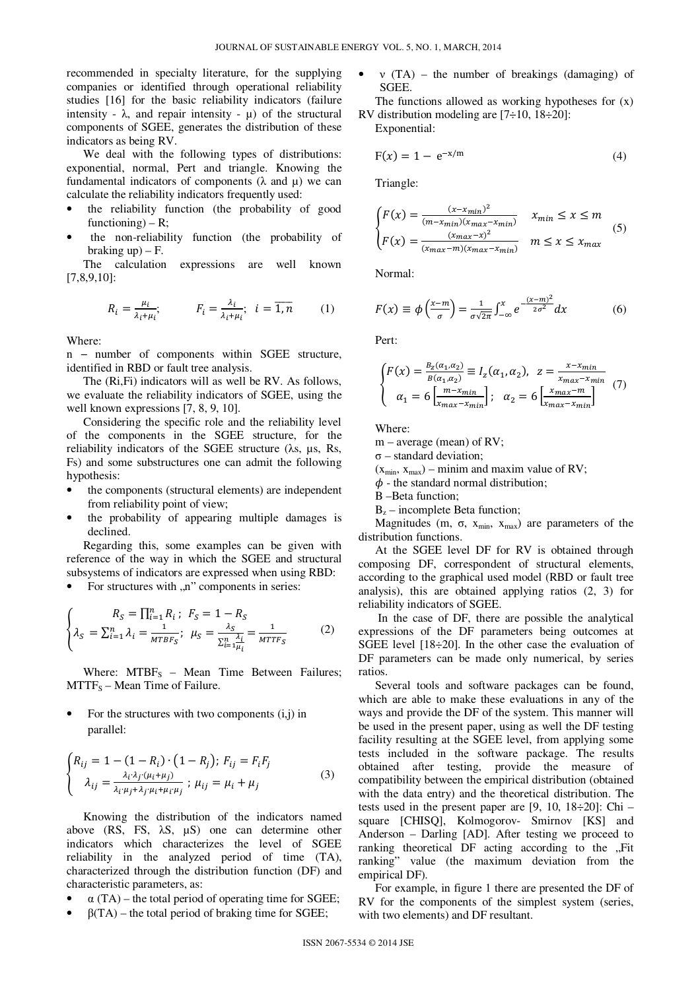recommended in specialty literature, for the supplying companies or identified through operational reliability studies [16] for the basic reliability indicators (failure intensity -  $\lambda$ , and repair intensity -  $\mu$ ) of the structural components of SGEE, generates the distribution of these indicators as being RV.

We deal with the following types of distributions: exponential, normal, Pert and triangle. Knowing the fundamental indicators of components  $(\lambda$  and  $\mu)$  we can calculate the reliability indicators frequently used:

- the reliability function (the probability of good functioning) –  $R$ ;
- the non-reliability function (the probability of braking  $up$ ) – F.

The calculation expressions are well known [7,8,9,10]:

$$
R_i = \frac{\mu_i}{\lambda_i + \mu_i}; \qquad F_i = \frac{\lambda_i}{\lambda_i + \mu_i}; \quad i = \overline{1, n} \qquad (1)
$$

Where:

n − number of components within SGEE structure, identified in RBD or fault tree analysis.

The (Ri,Fi) indicators will as well be RV. As follows, we evaluate the reliability indicators of SGEE, using the well known expressions [7, 8, 9, 10].

Considering the specific role and the reliability level of the components in the SGEE structure, for the reliability indicators of the SGEE structure (λs, µs, Rs, Fs) and some substructures one can admit the following hypothesis:

- the components (structural elements) are independent from reliability point of view;
- the probability of appearing multiple damages is declined.

Regarding this, some examples can be given with reference of the way in which the SGEE and structural subsystems of indicators are expressed when using RBD:

For structures with .n" components in series:

$$
\begin{cases}\nR_S = \prod_{i=1}^n R_i; \ F_S = 1 - R_S \\
\lambda_S = \sum_{i=1}^n \lambda_i = \frac{1}{MTBF_S}; \ \mu_S = \frac{\lambda_S}{\sum_{i=1}^n \frac{\lambda_i}{\mu_i}} = \frac{1}{MTTF_S}\n\end{cases} (2)
$$

Where:  $MTBF_S$  – Mean Time Between Failures;  $MTTF<sub>S</sub> - Mean Time of Failure.$ 

For the structures with two components  $(i,j)$  in parallel:

$$
\begin{cases} R_{ij} = 1 - (1 - R_i) \cdot (1 - R_j); F_{ij} = F_i F_j \\ \lambda_{ij} = \frac{\lambda_i \cdot \lambda_j \cdot (\mu_i + \mu_j)}{\lambda_i \cdot \mu_j + \lambda_j \cdot \mu_i + \mu_i \cdot \mu_j}; \ \mu_{ij} = \mu_i + \mu_j \end{cases} \tag{3}
$$

Knowing the distribution of the indicators named above (RS, FS, λS, µS) one can determine other indicators which characterizes the level of SGEE reliability in the analyzed period of time (TA), characterized through the distribution function (DF) and characteristic parameters, as:

- $\alpha$  (TA) the total period of operating time for SGEE;
- $\beta$ (TA) the total period of braking time for SGEE;

•  $v(TA)$  – the number of breakings (damaging) of SGEE.

The functions allowed as working hypotheses for  $(x)$ RV distribution modeling are  $[7\div 10, 18\div 20]$ :

Exponential:

$$
F(x) = 1 - e^{-x/m}
$$
 (4)

Triangle:

$$
\begin{cases}\nF(x) = \frac{(x - x_{min})^2}{(m - x_{min})(x_{max} - x_{min})} & x_{min} \le x \le m \\
F(x) = \frac{(x_{max} - x)^2}{(x_{max} - m)(x_{max} - x_{min})} & m \le x \le x_{max}\n\end{cases} (5)
$$

Normal:

$$
F(x) \equiv \phi\left(\frac{x-m}{\sigma}\right) = \frac{1}{\sigma\sqrt{2\pi}} \int_{-\infty}^{x} e^{-\frac{(x-m)^2}{2\sigma^2}} dx \tag{6}
$$

Pert:

$$
\begin{cases}\nF(x) = \frac{B_z(\alpha_1, \alpha_2)}{B(\alpha_1, \alpha_2)} \equiv I_z(\alpha_1, \alpha_2), \quad z = \frac{x - x_{min}}{x_{max} - x_{min}} \\
\alpha_1 = 6 \left[ \frac{m - x_{min}}{x_{max} - x_{min}} \right]; \quad \alpha_2 = 6 \left[ \frac{x_{max} - m}{x_{max} - x_{min}} \right]\n\end{cases} (7)
$$

Where:

m – average (mean) of RV;

 $\sigma$  – standard deviation;

 $(x_{min}, x_{max})$  – minim and maxim value of RV;

 $\phi$  - the standard normal distribution;

B –Beta function;

 $B_z$  – incomplete Beta function;

Magnitudes (m,  $\sigma$ ,  $x_{min}$ ,  $x_{max}$ ) are parameters of the distribution functions.

At the SGEE level DF for RV is obtained through composing DF, correspondent of structural elements, according to the graphical used model (RBD or fault tree analysis), this are obtained applying ratios (2, 3) for reliability indicators of SGEE.

 In the case of DF, there are possible the analytical expressions of the DF parameters being outcomes at SGEE level [18÷20]. In the other case the evaluation of DF parameters can be made only numerical, by series ratios.

Several tools and software packages can be found, which are able to make these evaluations in any of the ways and provide the DF of the system. This manner will be used in the present paper, using as well the DF testing facility resulting at the SGEE level, from applying some tests included in the software package. The results obtained after testing, provide the measure of compatibility between the empirical distribution (obtained with the data entry) and the theoretical distribution. The tests used in the present paper are  $[9, 10, 18 \div 20]$ : Chi – square [CHISQ], Kolmogorov- Smirnov [KS] and Anderson – Darling [AD]. After testing we proceed to ranking theoretical DF acting according to the ..Fit ranking" value (the maximum deviation from the empirical DF).

For example, in figure 1 there are presented the DF of RV for the components of the simplest system (series, with two elements) and DF resultant.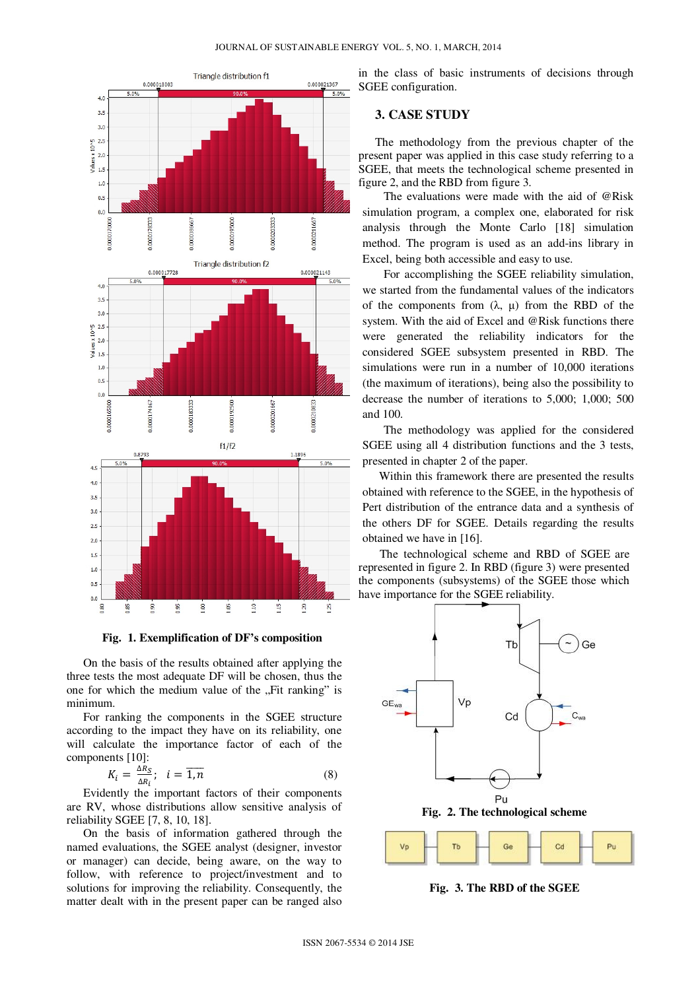

**Fig. 1. Exemplification of DF's composition**

On the basis of the results obtained after applying the three tests the most adequate DF will be chosen, thus the one for which the medium value of the "Fit ranking" is minimum.

For ranking the components in the SGEE structure according to the impact they have on its reliability, one will calculate the importance factor of each of the components [10]:

$$
K_i = \frac{\Delta R_S}{\Delta R_i}; \quad i = \overline{1, n} \tag{8}
$$

Evidently the important factors of their components are RV, whose distributions allow sensitive analysis of reliability SGEE [7, 8, 10, 18].

On the basis of information gathered through the named evaluations, the SGEE analyst (designer, investor or manager) can decide, being aware, on the way to follow, with reference to project/investment and to solutions for improving the reliability. Consequently, the matter dealt with in the present paper can be ranged also

in the class of basic instruments of decisions through SGEE configuration.

## **3. CASE STUDY**

The methodology from the previous chapter of the present paper was applied in this case study referring to a SGEE, that meets the technological scheme presented in figure 2, and the RBD from figure 3.

The evaluations were made with the aid of @Risk simulation program, a complex one, elaborated for risk analysis through the Monte Carlo [18] simulation method. The program is used as an add-ins library in Excel, being both accessible and easy to use.

For accomplishing the SGEE reliability simulation, we started from the fundamental values of the indicators of the components from  $(\lambda, \mu)$  from the RBD of the system. With the aid of Excel and @Risk functions there were generated the reliability indicators for the considered SGEE subsystem presented in RBD. The simulations were run in a number of 10,000 iterations (the maximum of iterations), being also the possibility to decrease the number of iterations to 5,000; 1,000; 500 and 100.

The methodology was applied for the considered SGEE using all 4 distribution functions and the 3 tests, presented in chapter 2 of the paper.

Within this framework there are presented the results obtained with reference to the SGEE, in the hypothesis of Pert distribution of the entrance data and a synthesis of the others DF for SGEE. Details regarding the results obtained we have in [16].

The technological scheme and RBD of SGEE are represented in figure 2. In RBD (figure 3) were presented the components (subsystems) of the SGEE those which have importance for the SGEE reliability.





**Fig. 3. The RBD of the SGEE**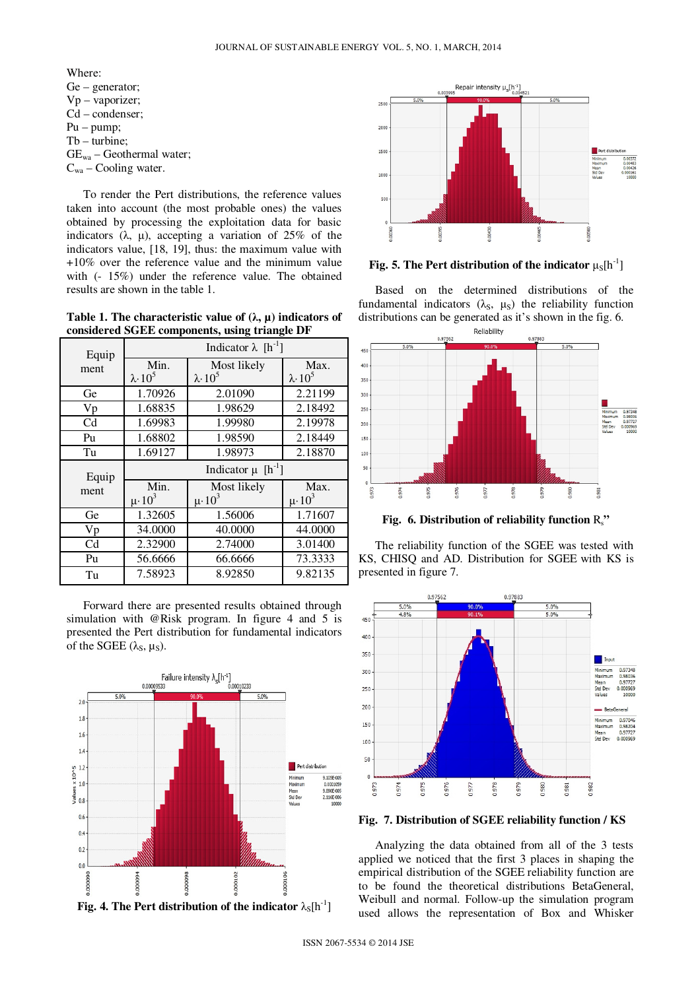Where:

Ge – generator; Vp – vaporizer; Cd – condenser; Pu – pump; Tb – turbine;  $GE_{wa}$  – Geothermal water;  $C_{wa}$  – Cooling water.

To render the Pert distributions, the reference values taken into account (the most probable ones) the values obtained by processing the exploitation data for basic indicators  $(\lambda, \mu)$ , accepting a variation of 25% of the indicators value, [18, 19], thus: the maximum value with +10% over the reference value and the minimum value with (- 15%) under the reference value. The obtained results are shown in the table 1.

**Table 1. The characteristic value of (**λ**, µ) indicators of considered SGEE components, using triangle DF**

| Equip          | Indicator $\lambda$ [h <sup>-1</sup> ]                                |                  |                           |  |  |  |
|----------------|-----------------------------------------------------------------------|------------------|---------------------------|--|--|--|
| ment           | Min.                                                                  | Max.             |                           |  |  |  |
|                | Most likely<br>$\lambda$ 10 <sup>5</sup><br>$\lambda$ 10 <sup>5</sup> |                  | $\lambda$ 10 <sup>5</sup> |  |  |  |
| Ge             | 1.70926                                                               | 2.01090          | 2.21199                   |  |  |  |
| Vp             | 1.68835                                                               | 1.98629          | 2.18492                   |  |  |  |
| C <sub>d</sub> | 1.69983                                                               | 1.99980          | 2.19978                   |  |  |  |
| Pu             | 1.68802                                                               | 1.98590          | 2.18449                   |  |  |  |
| Tu             | 1.69127                                                               | 1.98973          | 2.18870                   |  |  |  |
|                | Indicator $\mu$ [h <sup>-1</sup> ]                                    |                  |                           |  |  |  |
|                |                                                                       |                  |                           |  |  |  |
| Equip          | Min.                                                                  | Most likely      | Max.                      |  |  |  |
| ment           | $\mu \cdot 10^3$                                                      | $\mu \cdot 10^3$ | $\mu \cdot 10^3$          |  |  |  |
| Ge             | 1.32605                                                               | 1.56006          | 1.71607                   |  |  |  |
| Vp             | 34.0000                                                               | 40.0000          | 44.0000                   |  |  |  |
| C <sub>d</sub> | 2.32900                                                               | 2.74000          | 3.01400                   |  |  |  |
| Pu             | 56.6666                                                               | 66.6666          | 73.3333                   |  |  |  |

Forward there are presented results obtained through simulation with @Risk program. In figure 4 and 5 is presented the Pert distribution for fundamental indicators of the SGEE  $(\lambda_s, \mu_s)$ .





**Fig. 5. The Pert distribution of the indicator**  $\mu_S[h^{-1}]$ 

Based on the determined distributions of the fundamental indicators  $(\lambda_s, \mu_s)$  the reliability function distributions can be generated as it's shown in the fig. 6.



**Fig. 6. Distribution of reliability function** Rs**"**

The reliability function of the SGEE was tested with KS, CHISQ and AD. Distribution for SGEE with KS is presented in figure 7.



**Fig. 7. Distribution of SGEE reliability function / KS**

Analyzing the data obtained from all of the 3 tests applied we noticed that the first 3 places in shaping the empirical distribution of the SGEE reliability function are to be found the theoretical distributions BetaGeneral, Weibull and normal. Follow-up the simulation program used allows the representation of Box and Whisker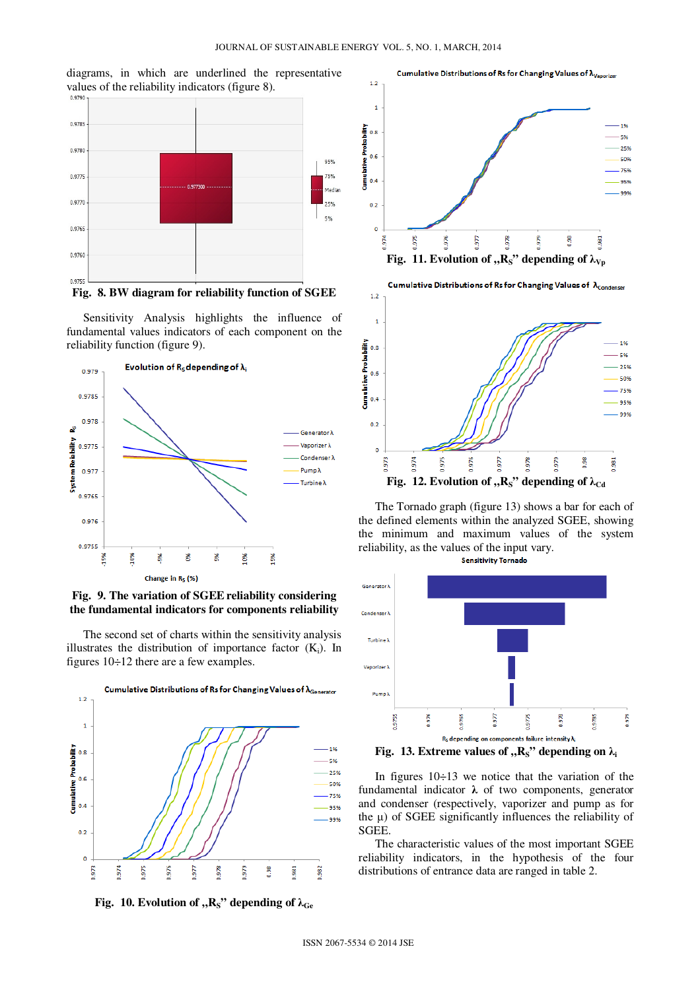



**Fig. 8. BW diagram for reliability function of SGEE**

Sensitivity Analysis highlights the influence of fundamental values indicators of each component on the reliability function (figure 9).



**Fig. 9. The variation of SGEE reliability considering the fundamental indicators for components reliability**

The second set of charts within the sensitivity analysis illustrates the distribution of importance factor  $(K_i)$ . In figures 10÷12 there are a few examples.







Cumulative Distributions of Rs for Changing Values of  $\lambda_{\text{Condenser}}$ 



The Tornado graph (figure 13) shows a bar for each of the defined elements within the analyzed SGEE, showing the minimum and maximum values of the system reliability, as the values of the input vary. **Sensitivity Tornado** 





In figures 10÷13 we notice that the variation of the fundamental indicator  $\lambda$  of two components, generator and condenser (respectively, vaporizer and pump as for the  $\mu$ ) of SGEE significantly influences the reliability of SGEE.

The characteristic values of the most important SGEE reliability indicators, in the hypothesis of the four distributions of entrance data are ranged in table 2.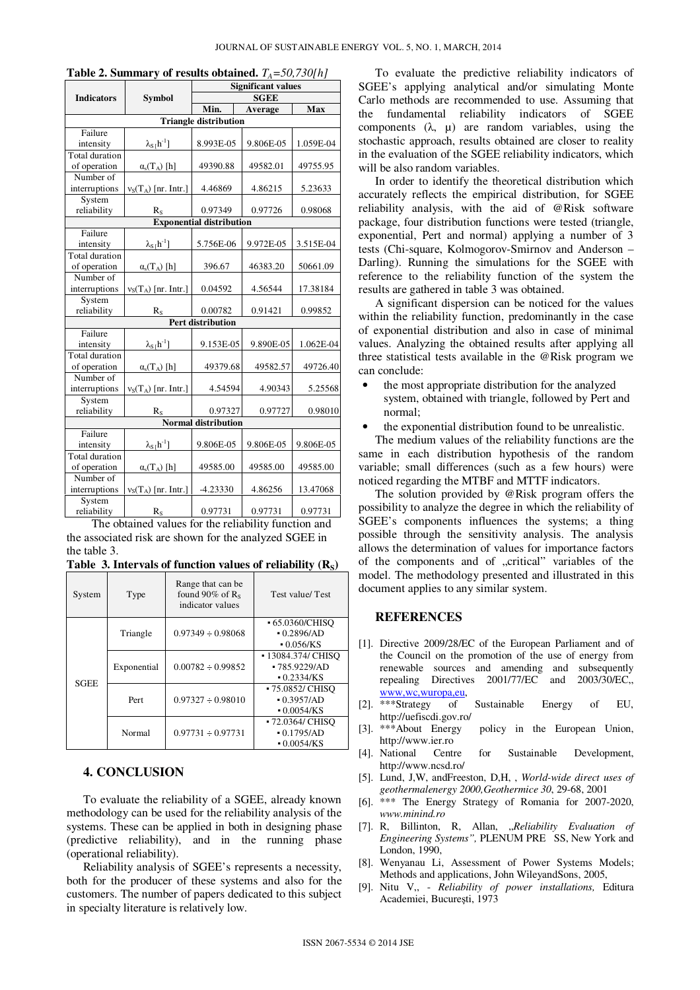|                                 |                                              | Significant values       |           |           |  |  |  |
|---------------------------------|----------------------------------------------|--------------------------|-----------|-----------|--|--|--|
| <b>Indicators</b>               | <b>Symbol</b>                                | <b>SGEE</b>              |           |           |  |  |  |
|                                 |                                              | Min.                     | Average   | Max       |  |  |  |
| <b>Triangle distribution</b>    |                                              |                          |           |           |  |  |  |
| Failure                         |                                              |                          |           |           |  |  |  |
| intensity                       | $\lambda_{S}$ [h <sup>-1</sup> ]             | 8.993E-05                | 9.806E-05 | 1.059E-04 |  |  |  |
| Total duration                  |                                              |                          |           |           |  |  |  |
| of operation                    | $\alpha_s(T_A)$ [h]                          | 49390.88                 | 49582.01  | 49755.95  |  |  |  |
| Number of                       |                                              |                          |           |           |  |  |  |
| interruptions                   | $v_S(T_A)$ [nr. Intr.]                       | 4.46869                  | 4.86215   | 5.23633   |  |  |  |
| System                          |                                              |                          |           |           |  |  |  |
| reliability                     | $R_{S}$                                      | 0.97349                  | 0.97726   | 0.98068   |  |  |  |
| <b>Exponential distribution</b> |                                              |                          |           |           |  |  |  |
| Failure                         |                                              |                          |           |           |  |  |  |
| intensity                       | $\lambda_{S}$ <sub>[</sub> h <sup>-1</sup> ] | 5.756E-06                | 9.972E-05 | 3.515E-04 |  |  |  |
| Total duration                  |                                              |                          |           |           |  |  |  |
| of operation                    | $\alpha_s(T_A)$ [h]                          | 396.67                   | 46383.20  | 50661.09  |  |  |  |
| Number of                       |                                              |                          |           |           |  |  |  |
| interruptions                   | $v_S(T_A)$ [nr. Intr.]                       | 0.04592                  | 4.56544   | 17.38184  |  |  |  |
| System                          |                                              |                          |           |           |  |  |  |
| reliability                     | $R_{S}$                                      | 0.00782                  | 0.91421   | 0.99852   |  |  |  |
|                                 |                                              | <b>Pert distribution</b> |           |           |  |  |  |
| Failure                         |                                              |                          |           |           |  |  |  |
| intensity                       | $\lambda_{S}$ [h <sup>-1</sup> ]             | 9.153E-05                | 9.890E-05 | 1.062E-04 |  |  |  |
| Total duration                  |                                              |                          |           |           |  |  |  |
| of operation                    | $\alpha_s(T_A)$ [h]                          | 49379.68                 | 49582.57  | 49726.40  |  |  |  |
| Number of                       |                                              |                          |           |           |  |  |  |
| interruptions                   | $v_S(T_A)$ [nr. Intr.]                       | 4.54594                  | 4.90343   | 5.25568   |  |  |  |
| System                          |                                              |                          |           |           |  |  |  |
| reliability                     | $R_{S}$                                      | 0.97327                  | 0.97727   | 0.98010   |  |  |  |
| <b>Normal distribution</b>      |                                              |                          |           |           |  |  |  |
| Failure                         |                                              |                          |           |           |  |  |  |
| intensity                       | $\lambda_{S}[\underline{h}^{-1}]$            | 9.806E-05                | 9.806E-05 | 9.806E-05 |  |  |  |
| Total duration                  |                                              |                          |           |           |  |  |  |
| of operation                    | $\alpha_s(T_A)$ [h]                          | 49585.00                 | 49585.00  | 49585.00  |  |  |  |
| Number of                       |                                              |                          |           |           |  |  |  |
| interruptions                   | $v_S(T_A)$ [nr. Intr.]                       | -4.23330                 | 4.86256   | 13.47068  |  |  |  |
| System                          |                                              |                          |           |           |  |  |  |
| reliability                     | $R_S$                                        | 0.97731                  | 0.97731   | 0.97731   |  |  |  |

| Table 2. Summary of results obtained. $T_A = 50,730[h]$ |  |  |
|---------------------------------------------------------|--|--|
|                                                         |  |  |

**Significant values** 

The obtained values for the reliability function and the associated risk are shown for the analyzed SGEE in the table 3.

|  |  |  |  |  |  |  | Table 3. Intervals of function values of reliability $(RS)$ |  |
|--|--|--|--|--|--|--|-------------------------------------------------------------|--|
|--|--|--|--|--|--|--|-------------------------------------------------------------|--|

| System      | Type        | Range that can be.<br>found 90% of $R_s$<br>indicator values | Test value/Test                 |
|-------------|-------------|--------------------------------------------------------------|---------------------------------|
| <b>SGEE</b> | Triangle    | $0.97349 \div 0.98068$                                       | • 65.0360/CHISO<br>$-0.2896/AD$ |
|             |             |                                                              | $-0.056/KS$                     |
|             | Exponential | $0.00782 \div 0.99852$                                       | - 13084.374/ CHISO              |
|             |             |                                                              | $-785.9229/AD$                  |
|             |             |                                                              | $-0.2334/KS$                    |
|             | Pert        | $0.97327 \div 0.98010$                                       | • 75.0852/ CHISO                |
|             |             |                                                              | $-0.3957/AD$                    |
|             |             |                                                              | $-0.0054$ /KS                   |
|             | Normal      | $0.97731 \div 0.97731$                                       | • 72.0364/ CHISO                |
|             |             |                                                              | $-0.1795/AD$                    |
|             |             |                                                              | $-0.0054$ /KS                   |

#### **4. CONCLUSION**

To evaluate the reliability of a SGEE, already known methodology can be used for the reliability analysis of the systems. These can be applied in both in designing phase (predictive reliability), and in the running phase (operational reliability).

Reliability analysis of SGEE's represents a necessity, both for the producer of these systems and also for the customers. The number of papers dedicated to this subject in specialty literature is relatively low.

To evaluate the predictive reliability indicators of SGEE's applying analytical and/or simulating Monte Carlo methods are recommended to use. Assuming that the fundamental reliability indicators of SGEE components  $(\lambda, \mu)$  are random variables, using the stochastic approach, results obtained are closer to reality in the evaluation of the SGEE reliability indicators, which will be also random variables.

In order to identify the theoretical distribution which accurately reflects the empirical distribution, for SGEE reliability analysis, with the aid of @Risk software package, four distribution functions were tested (triangle, exponential, Pert and normal) applying a number of 3 tests (Chi-square, Kolmogorov-Smirnov and Anderson – Darling). Running the simulations for the SGEE with reference to the reliability function of the system the results are gathered in table 3 was obtained.

A significant dispersion can be noticed for the values within the reliability function, predominantly in the case of exponential distribution and also in case of minimal values. Analyzing the obtained results after applying all three statistical tests available in the @Risk program we can conclude:

- the most appropriate distribution for the analyzed system, obtained with triangle, followed by Pert and normal;
- the exponential distribution found to be unrealistic.

The medium values of the reliability functions are the same in each distribution hypothesis of the random variable; small differences (such as a few hours) were noticed regarding the MTBF and MTTF indicators.

The solution provided by @Risk program offers the possibility to analyze the degree in which the reliability of SGEE's components influences the systems; a thing possible through the sensitivity analysis. The analysis allows the determination of values for importance factors of the components and of "critical" variables of the model. The methodology presented and illustrated in this document applies to any similar system.

#### **REFERENCES**

- [1]. Directive 2009/28/EC of the European Parliament and of the Council on the promotion of the use of energy from renewable sources and amending and subsequently repealing Directives 2001/77/EC and 2003/30/EC,, www,wc,wuropa,eu,
- [2]. \*\*\*Strategy of Sustainable Energy of EU, http://uefiscdi.gov.ro/
- [3]. \*\*\*About Energy policy in the European Union, http://www.ier.ro
- [4]. National Centre for Sustainable Development, http://www.ncsd.ro/
- [5]. Lund, J,W, andFreeston, D,H, , *World-wide direct uses of geothermalenergy 2000,Geothermice 30*, 29-68, 2001
- [6]. \*\*\* The Energy Strategy of Romania for 2007-2020, *www.minind.ro*
- [7]. R, Billinton, R, Allan, "*Reliability Evaluation of Engineering Systems",* PLENUM PRE SS, New York and London, 1990,
- [8]. Wenyanau Li, Assessment of Power Systems Models; Methods and applications, John WileyandSons, 2005,
- [9]. Nitu V,, *Reliability of power installations,* Editura Academiei, Bucureşti, 1973